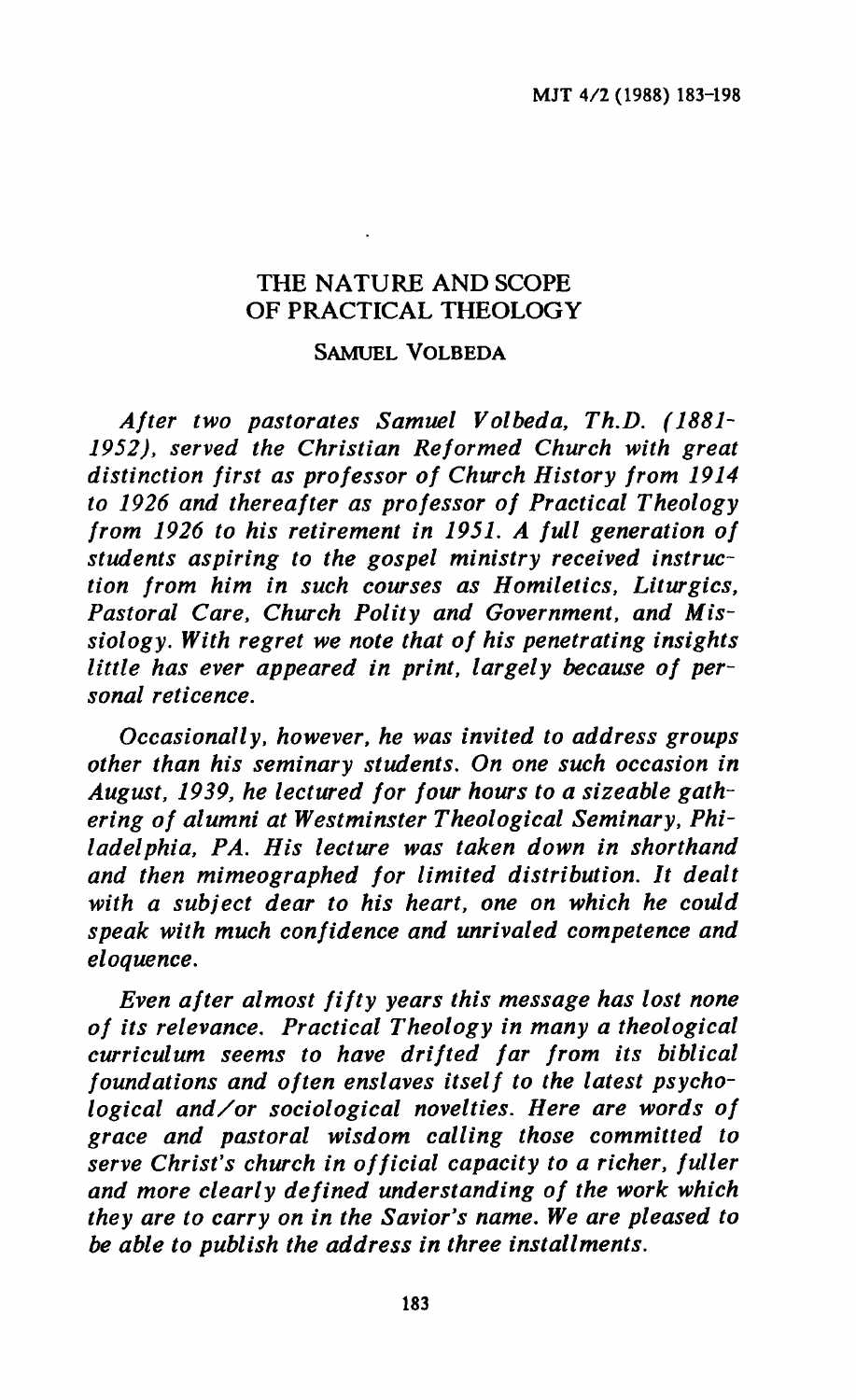# THE NATURE AND SCOPE OF PRACTICAL THEOLOGY

#### SAMUEL VOLBEDA

*After two pastorates Samuel Volbeda, Th.D. (1881- 1952), served the Christian Reformed Church with great distinction first as professor of Church History from 1914 to 1926 and thereafter as professor of Practical Theology from 1926 to his retirement in 1951. A full generation of students aspiring to the gospel ministry received instruction from him in such courses as Homiletics, Liturgies, Pastoral Care, Church Polity and Government, and Missiology. With regret we note that of his penetrating insights little has ever appeared in print, largely because of personal reticence.* 

*Occasionally, however, he was invited to address groups other than his seminary students. On one such occasion in August, 1939, he lectured for four hours to a sizeable gathering of alumni at Westminster Theological Seminary, Philadelphia, PA. His lecture was taken down in shorthand and then mimeographed for limited distribution. It dealt with a subject dear to his heart, one on which he could speak with much confidence and unrivaled competence and eloquence.* 

*Even after almost fifty years this message has lost none of its relevance. Practical Theology in many a theological curriculum seems to have drifted far from its biblical foundations and often enslaves itself to the latest psychological and/or sociological novelties. Here are words of grace and pastoral wisdom calling those committed to serve Christ's church in official capacity to a richer, fuller and more clearly defined understanding of the work which they are to carry on in the Savior's name. We are pleased to be able to publish the address in three installments.*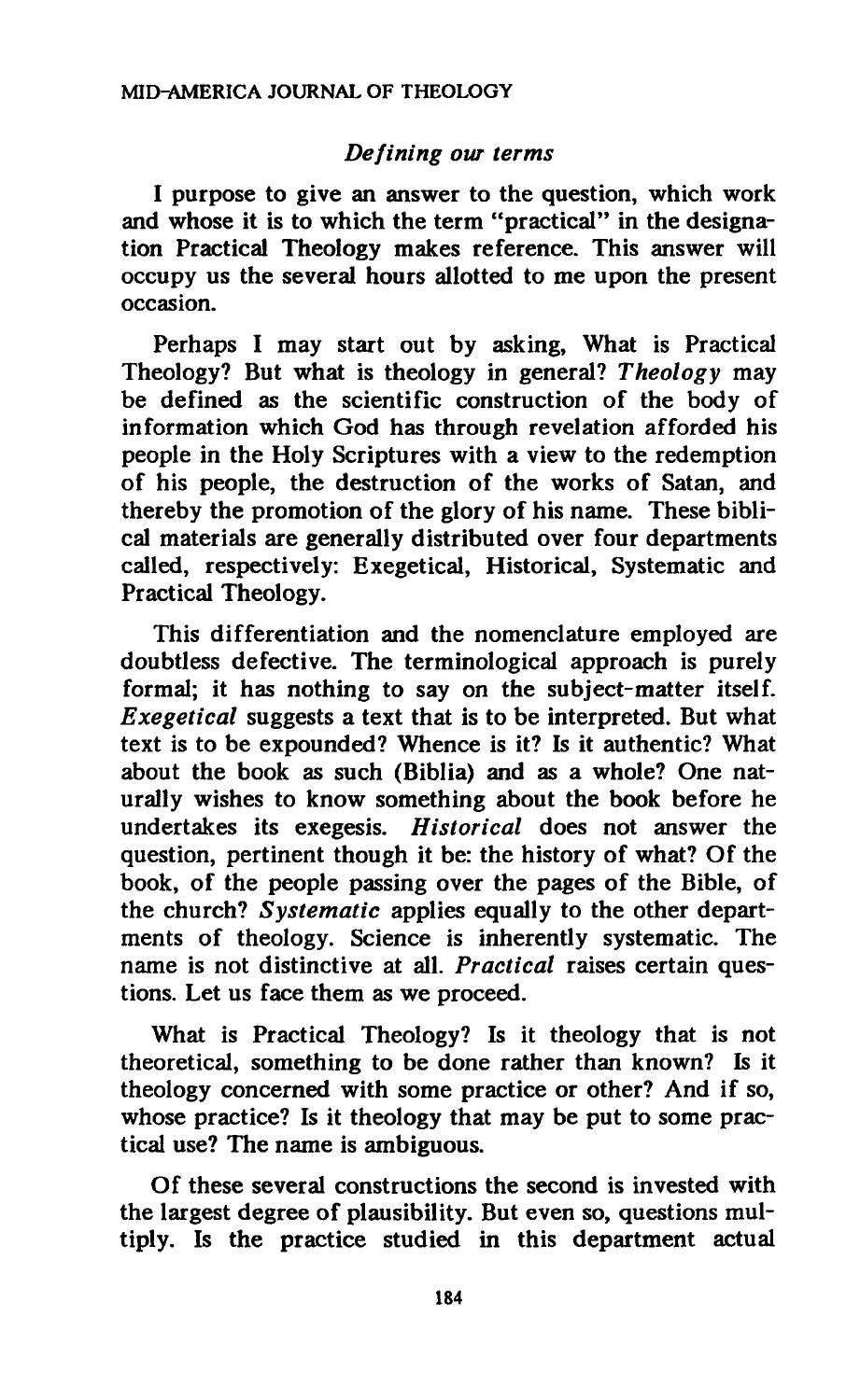### *Defining our terms*

**I purpose to give an answer to the question, which work and whose it is to which the term "practical" in the designation Practical Theology makes reference. This answer will occupy us the several hours allotted to me upon the present occasion.** 

**Perhaps I may start out by asking, What is Practical Theology? But what is theology in general?** *Theology* **may be defined as the scientific construction of the body of information which God has through revelation afforded his people in the Holy Scriptures with a view to the redemption of his people, the destruction of the works of Satan, and thereby the promotion of the glory of his name. These biblical materials are generally distributed over four departments called, respectively: Exegetical, Historical, Systematic and Practical Theology.** 

**This differentiation and the nomenclature employed are doubtless defective. The terminological approach is purely formal; it has nothing to say on the subject-matter itself.**  *Exegetical* **suggests a text that is to be interpreted. But what text is to be expounded? Whence is it? Is it authentic? What about the book as such (Biblia) and as a whole? One naturally wishes to know something about the book before he undertakes its exegesis.** *Historical* **does not answer the question, pertinent though it be: the history of what? Of the book, of the people passing over the pages of the Bible, of the church?** *Systematic* **applies equally to the other departments of theology. Science is inherently systematic. The name is not distinctive at all.** *Practical* **raises certain questions. Let us face them as we proceed.** 

**What is Practical Theology? Is it theology that is not theoretical, something to be done rather than known? Is it theology concerned with some practice or other? And if so, whose practice? Is it theology that may be put to some practical use? The name is ambiguous.** 

**Of these several constructions the second is invested with the largest degree of plausibility. But even so, questions multiply. Is the practice studied in this department actual**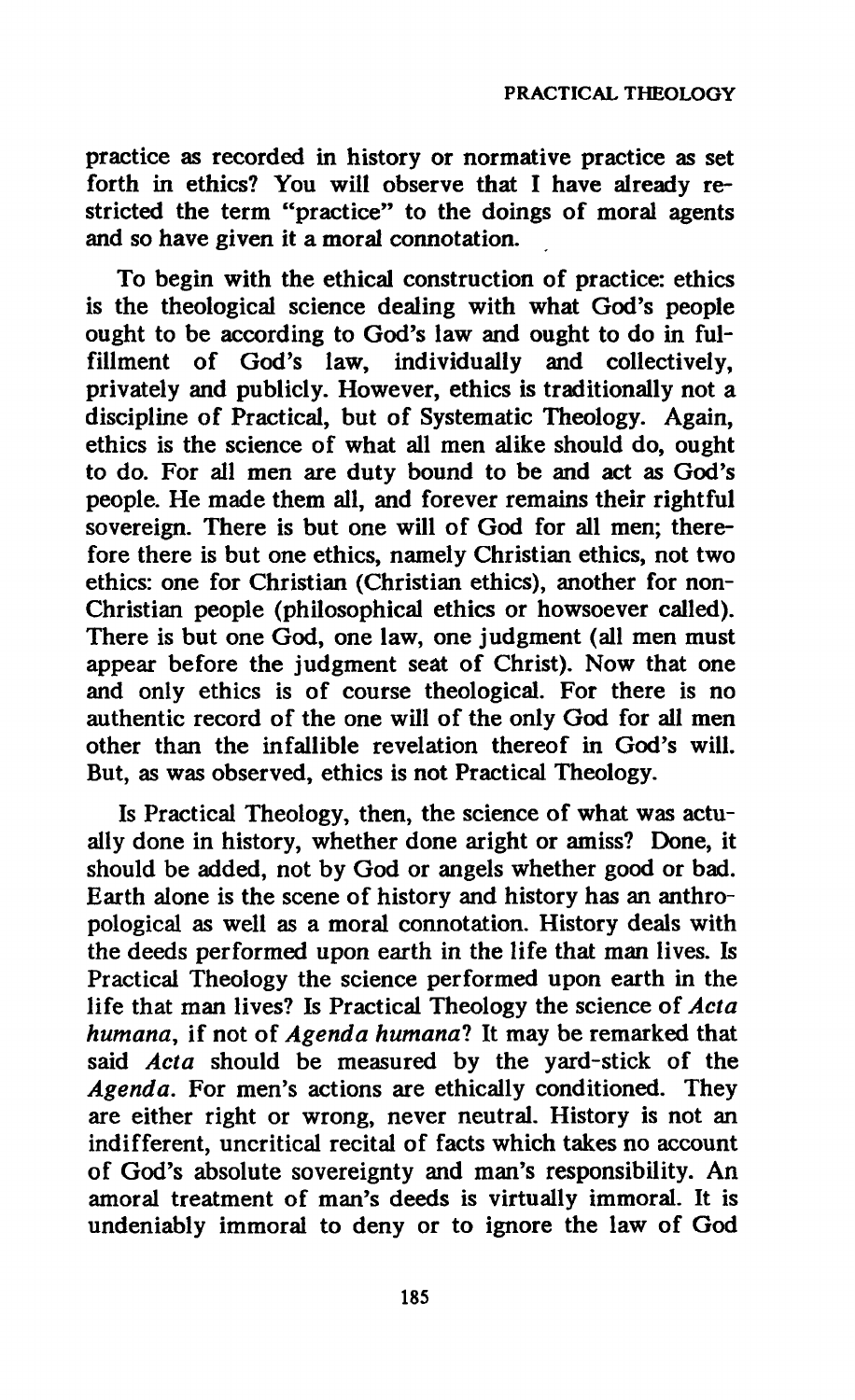**practice as recorded in history or normative practice as set forth in ethics? You will observe that I have already restricted the term "practice" to the doings of moral agents and so have given it a moral connotation.** 

**To begin with the ethical construction of practice: ethics is the theological science dealing with what God's people ought to be according to God's law and ought to do in fulfillment of God's law, individually and collectively, privately and publicly. However, ethics is traditionally not a discipline of Practical, but of Systematic Theology. Again, ethics is the science of what all men alike should do, ought to do. For all men are duty bound to be and act as God's people. He made them all, and forever remains their rightful sovereign. There is but one will of God for all men; therefore there is but one ethics, namely Christian ethics, not two ethics: one for Christian (Christian ethics), another for non-Christian people (philosophical ethics or howsoever called). There is but one God, one law, one judgment (all men must appear before the judgment seat of Christ). Now that one and only ethics is of course theological. For there is no authentic record of the one will of the only God for all men other than the infallible revelation thereof in God's will. But, as was observed, ethics is not Practical Theology.** 

**Is Practical Theology, then, the science of what was actually done in history, whether done aright or amiss? Done, it should be added, not by God or angels whether good or bad. Earth alone is the scene of history and history has an anthropological as well as a moral connotation. History deals with the deeds performed upon earth in the life that man lives. Is Practical Theology the science performed upon earth in the life that man lives? Is Practical Theology the science of** *Acta humana,* **if not of** *Agenda humanal* **It may be remarked that said** *Acta* **should be measured by the yard-stick of the**  *Agenda.* **For men's actions are ethically conditioned. They are either right or wrong, never neutral. History is not an indifferent, uncritical recital of facts which takes no account of God's absolute sovereignty and man's responsibility. An amoral treatment of man's deeds is virtually immoral. It is undeniably immoral to deny or to ignore the law of God**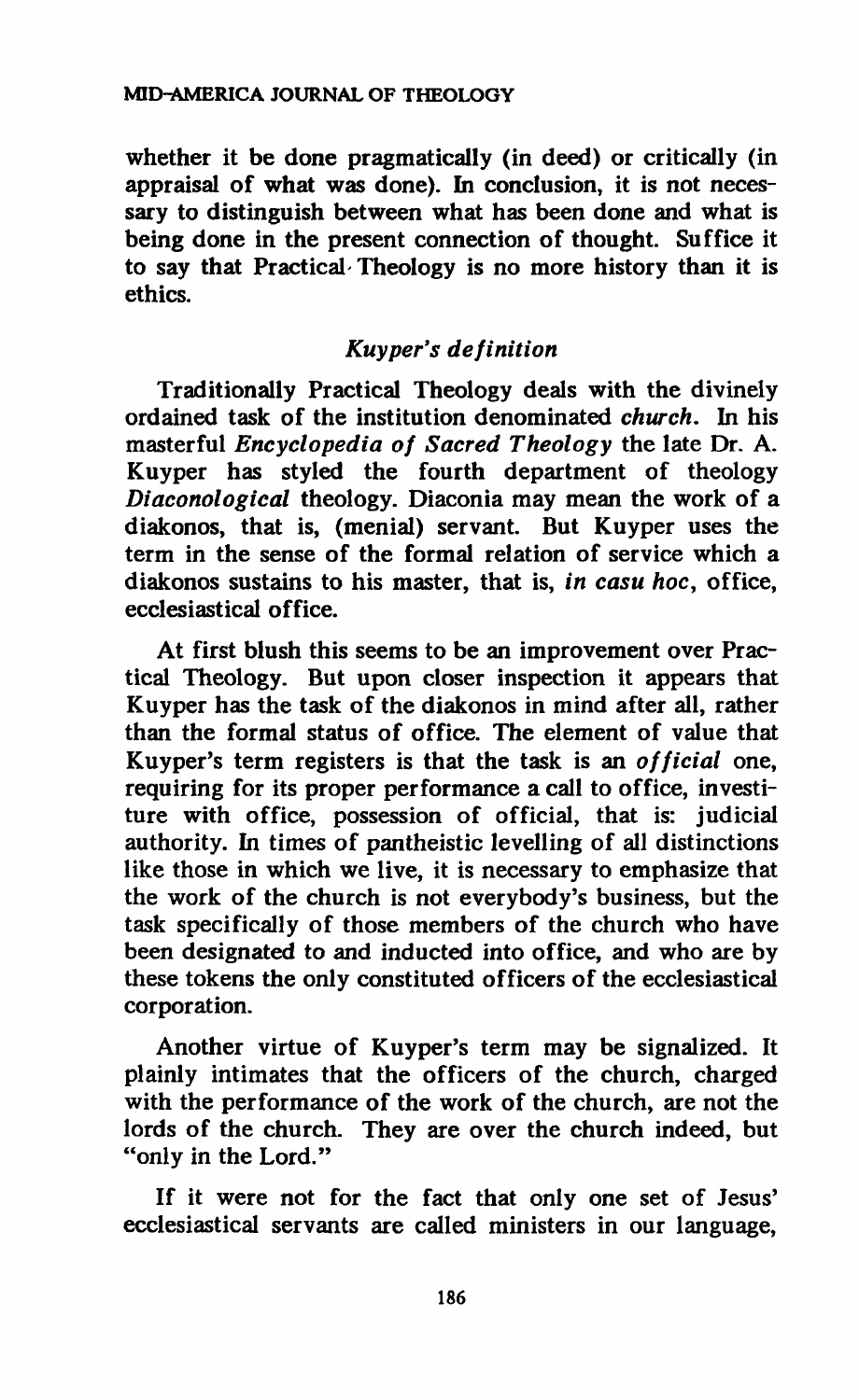**whether it be done pragmatically (in deed) or critically (in appraisal of what was done). In conclusion, it is not necessary to distinguish between what has been done and what is being done in the present connection of thought. Suffice it to say that Practical- Theology is no more history than it is ethics.** 

### *Kuyper's definition*

**Traditionally Practical Theology deals with the divinely ordained task of the institution denominated** *church.* **In his masterful** *Encyclopedia of Sacred Theology* **the late Dr. A. Kuyper has styled the fourth department of theology**  *Diaconological* **theology. Diaconia may mean the work of a diakonos, that is, (menial) servant. But Kuyper uses the term in the sense of the formal relation of service which a diakonos sustains to his master, that is,** *in casu hoc,* **office, ecclesiastical office.** 

**At first blush this seems to be an improvement over Practical Theology. But upon closer inspection it appears that Kuyper has the task of the diakonos in mind after all, rather than the formal status of office. The element of value that Kuyper's term registers is that the task is an** *official* **one, requiring for its proper performance a call to office, investiture with office, possession of official, that is: judicial authority. In times of pantheistic levelling of all distinctions like those in which we live, it is necessary to emphasize that the work of the church is not everybody's business, but the task specifically of those members of the church who have been designated to and inducted into office, and who are by these tokens the only constituted officers of the ecclesiastical corporation.** 

**Another virtue of Kuyper's term may be signalized. It plainly intimates that the officers of the church, charged with the performance of the work of the church, are not the lords of the church. They are over the church indeed, but "only in the Lord."** 

**If it were not for the fact that only one set of Jesus' ecclesiastical servants are called ministers in our language,**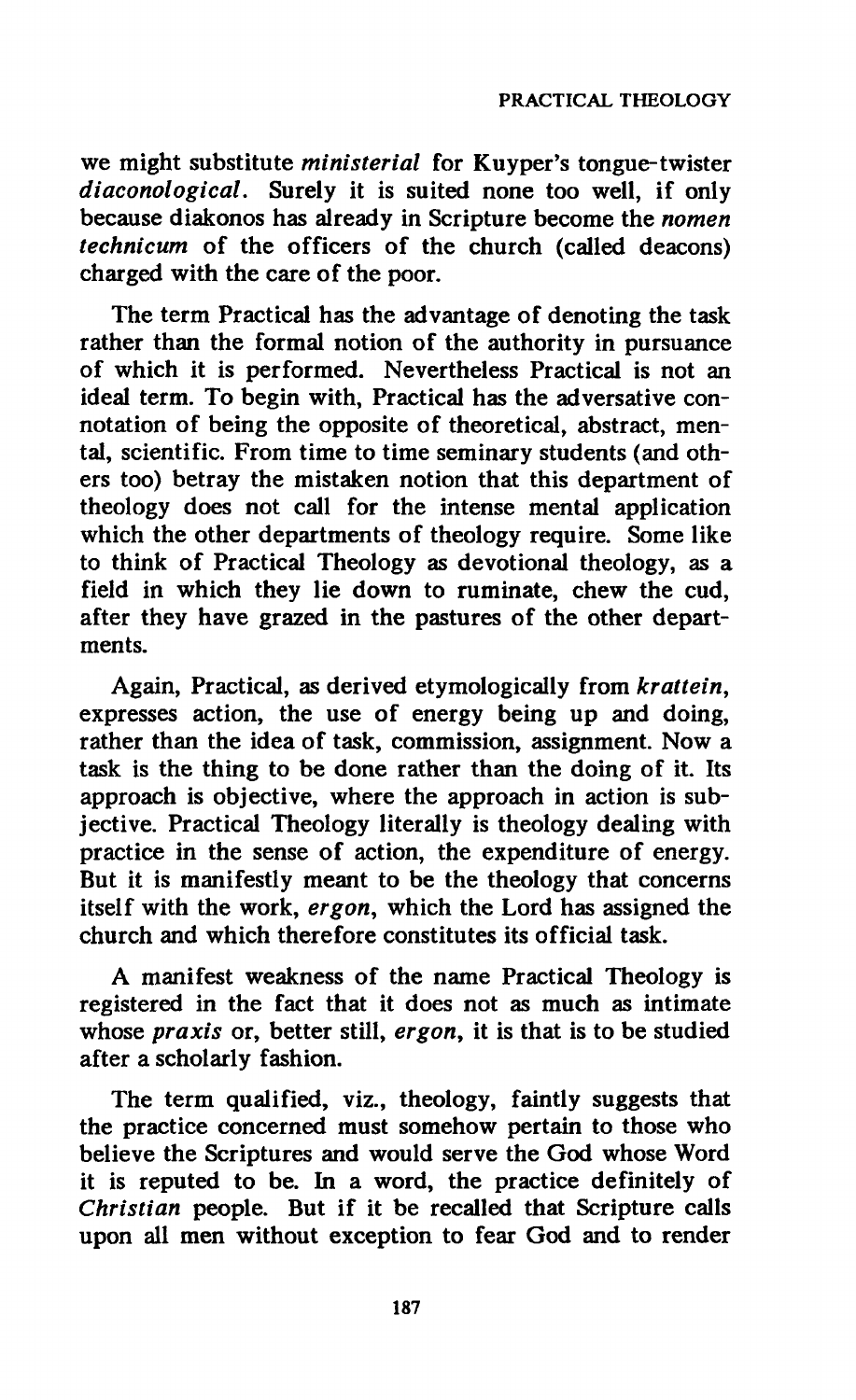**we might substitute** *ministerial* **for Kuyper's tongue-twister**  *diaconological.* **Surely it is suited none too well, if only because diakonos has already in Scripture become the** *nomen technicum* **of the officers of the church (called deacons) charged with the care of the poor.** 

**The term Practical has the advantage of denoting the task rather than the formal notion of the authority in pursuance of which it is performed. Nevertheless Practical is not an ideal term. To begin with, Practical has the adversative connotation of being the opposite of theoretical, abstract, mental, scientific. From time to time seminary students (and others too) betray the mistaken notion that this department of theology does not call for the intense mental application which the other departments of theology require. Some like to think of Practical Theology as devotional theology, as a field in which they lie down to ruminate, chew the cud, after they have grazed in the pastures of the other departments.** 

**Again, Practical, as derived etymologically from** *krattein,*  **expresses action, the use of energy being up and doing, rather than the idea of task, commission, assignment. Now a task is the thing to be done rather than the doing of it. Its approach is objective, where the approach in action is subjective. Practical Theology literally is theology dealing with practice in the sense of action, the expenditure of energy. But it is manifestly meant to be the theology that concerns itself with the work,** *ergon,* **which the Lord has assigned the church and which therefore constitutes its official task.** 

**A manifest weakness of the name Practical Theology is registered in the fact that it does not as much as intimate whose** *praxis* **or, better still,** *ergon,* **it is that is to be studied after a scholarly fashion.** 

**The term qualified, viz., theology, faintly suggests that the practice concerned must somehow pertain to those who believe the Scriptures and would serve the God whose Word it is reputed to be. In a word, the practice definitely of**  *Christian* **people. But if it be recalled that Scripture calls upon all men without exception to fear God and to render**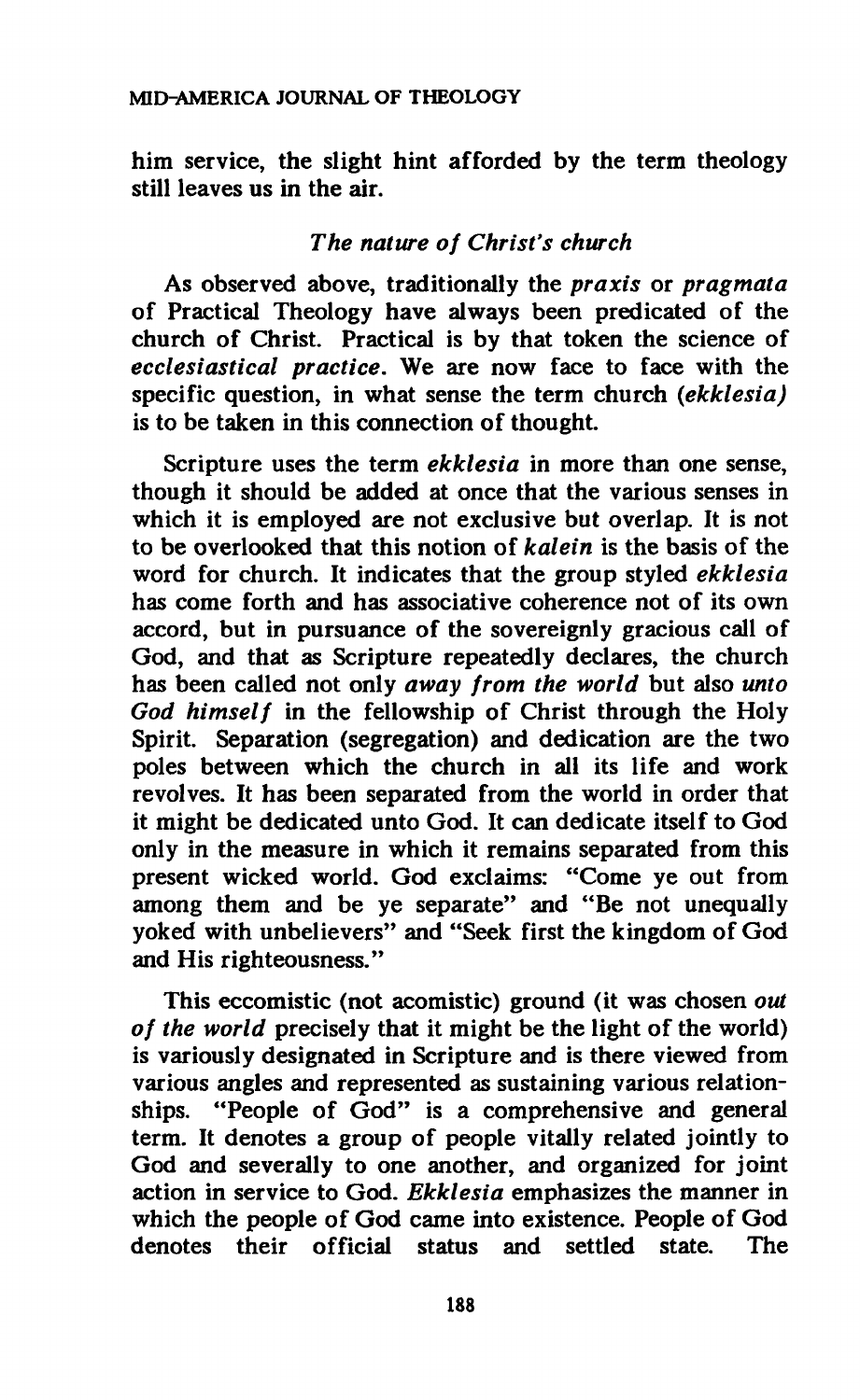**him service, the slight hint afforded by the term theology still leaves us in the air.** 

# *The nature of Christ's church*

**As observed above, traditionally the** *praxis* **or** *pragmata*  **of Practical Theology have always been predicated of the church of Christ. Practical is by that token the science of**  *ecclesiastical practice.* **We are now face to face with the specific question, in what sense the term church** *(ekklesia)*  **is to be taken in this connection of thought.** 

**Scripture uses the term** *ekklesia* **in more than one sense, though it should be added at once that the various senses in which it is employed are not exclusive but overlap. It is not to be overlooked that this notion of** *kalein* **is the basis of the word for church. It indicates that the group styled** *ekklesia*  **has come forth and has associative coherence not of its own accord, but in pursuance of the sovereignly gracious call of God, and that as Scripture repeatedly declares, the church has been called not only** *away from the world* **but also** *unto God himself* **in the fellowship of Christ through the Holy Spirit. Separation (segregation) and dedication are the two poles between which the church in all its life and work revolves. It has been separated from the world in order that it might be dedicated unto God. It can dedicate itself to God only in the measure in which it remains separated from this present wicked world. God exclaims: "Come ye out from among them and be ye separate" and "Be not unequally yoked with unbelievers" and "Seek first the kingdom of God and His righteousness."** 

**This eccomistic (not acomistic) ground (it was chosen** *out of the world* **precisely that it might be the light of the world) is variously designated in Scripture and is there viewed from various angles and represented as sustaining various relationships. "People of God" is a comprehensive and general term. It denotes a group of people vitally related jointly to God and severally to one another, and organized for joint action in service to God.** *Ekklesia* **emphasizes the manner in which the people of God came into existence. People of God denotes their official status and settled state. The**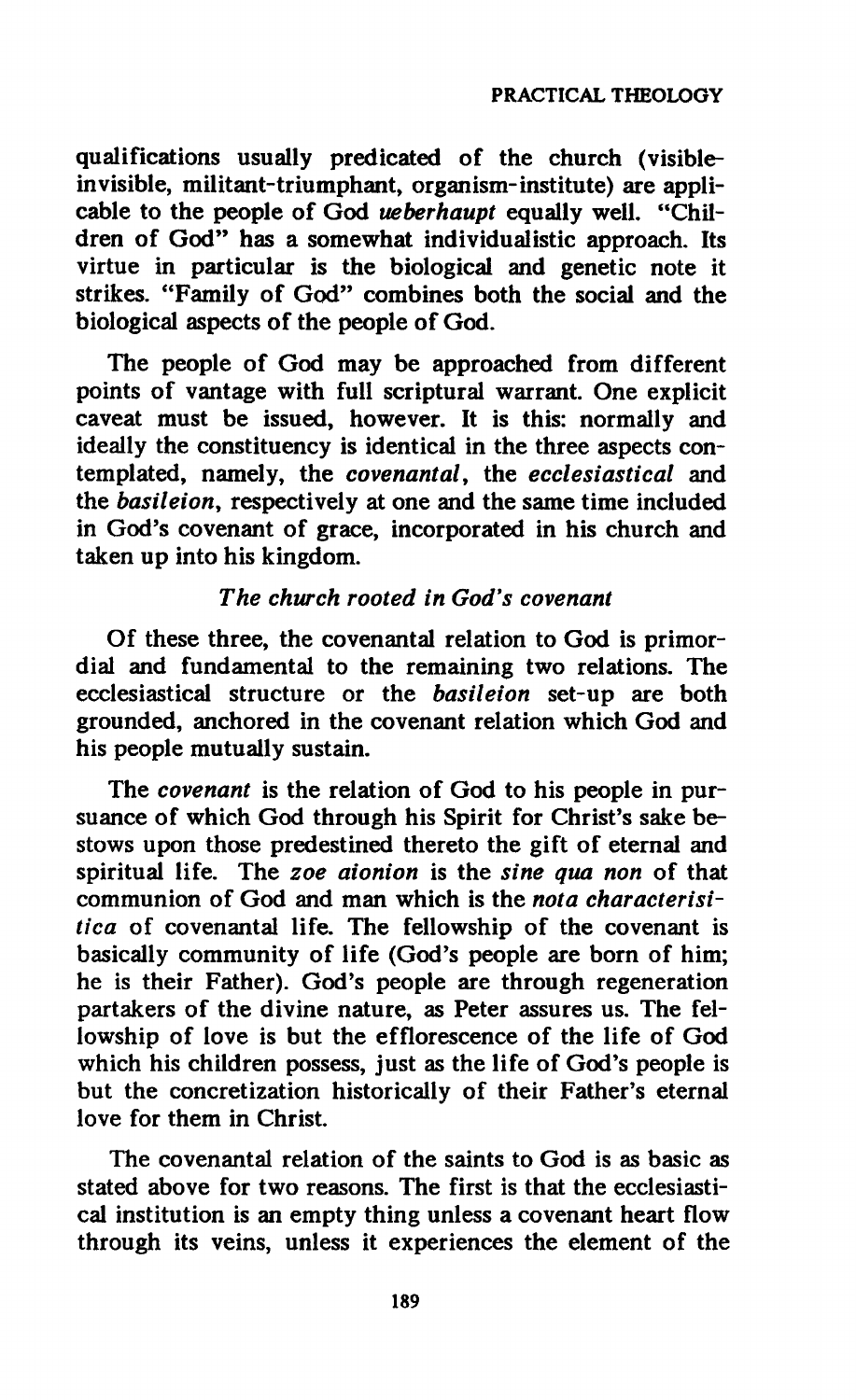#### **PRACTICAL THEOLOGY**

**qualifications usually predicated of the church (visibleinvisible, militant-triumphant, organism-institute) are applicable to the people of God** *ueberhaupt* **equally well. "Children of God" has a somewhat individualistic approach. Its virtue in particular is the biological and genetic note it strikes. "Family of God" combines both the social and the biological aspects of the people of God.** 

**The people of God may be approached from different points of vantage with full scriptural warrant. One explicit caveat must be issued, however. It is this: normally and ideally the constituency is identical in the three aspects contemplated, namely, the** *covenantal,* **the** *ecclesiastical* **and the** *basileion,* **respectively at one and the same time included in God's covenant of grace, incorporated in his church and taken up into his kingdom.** 

## *The church rooted in God's covenant*

**Of these three, the covenantal relation to God is primordial and fundamental to the remaining two relations. The ecclesiastical structure or the** *basileion* **set-up are both grounded, anchored in the covenant relation which God and his people mutually sustain.** 

**The** *covenant* **is the relation of God to his people in pursuance of which God through his Spirit for Christ's sake bestows upon those predestined thereto the gift of eternal and spiritual life. The** *zoe aionion* **is the** *sine qua non* **of that communion of God and man which is the** *nota characterisitica* **of covenantal life. The fellowship of the covenant is basically community of life (God's people are born of him; he is their Father). God's people are through regeneration partakers of the divine nature, as Peter assures us. The fellowship of love is but the efflorescence of the life of God which his children possess, just as the life of God's people is but the concretization historically of their Father's eternal love for them in Christ.** 

**The covenantal relation of the saints to God is as basic as stated above for two reasons. The first is that the ecclesiastical institution is an empty thing unless a covenant heart flow through its veins, unless it experiences the element of the**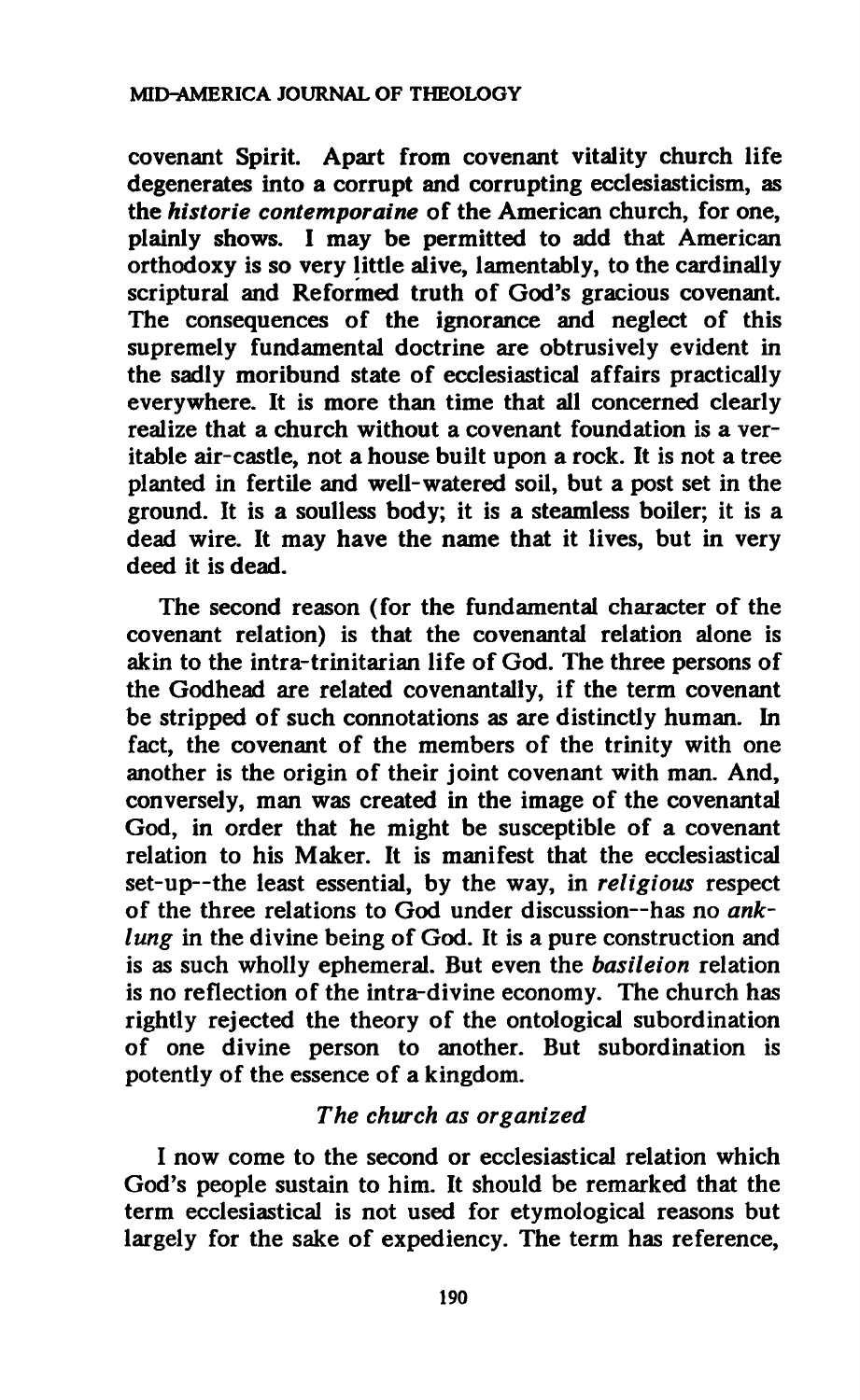**covenant Spirit. Apart from covenant vitality church life degenerates into a corrupt and corrupting ecclesiasticism, as the** *historie contemporaine* **of the American church, for one, plainly shows. I may be permitted to add that American orthodoxy is so very little alive, lamentably, to the cardinally scriptural and Reformed truth of God's gracious covenant. The consequences of the ignorance and neglect of this supremely fundamental doctrine are obtrusively evident in the sadly moribund state of ecclesiastical affairs practically everywhere. It is more than time that all concerned clearly realize that a church without a covenant foundation is a veritable air-castle, not a house built upon a rock. It is not a tree planted in fertile and well-watered soil, but a post set in the ground. It is a soulless body; it is a steamless boiler; it is a dead wire. It may have the name that it lives, but in very deed it is dead.** 

**The second reason (for the fundamental character of the covenant relation) is that the covenantal relation alone is akin to the intra-trinitarian life of God. The three persons of the Godhead are related covenantally, if the term covenant be stripped of such connotations as are distinctly human. In fact, the covenant of the members of the trinity with one another is the origin of their joint covenant with man. And, conversely, man was created in the image of the covenantal God, in order that he might be susceptible of a covenant relation to his Maker. It is manifest that the ecclesiastical set-up—the least essential, by the way, in** *religious* **respect of the three relations to God under discussion—has no** *anklung* **in the divine being of God. It is a pure construction and is as such wholly ephemeral. But even the** *basileion* **relation is no reflection of the intra-divine economy. The church has rightly rejected the theory of the ontological subordination of one divine person to another. But subordination is potently of the essence of a kingdom.** 

# *The church as organized*

**I now come to the second or ecclesiastical relation which God's people sustain to him. It should be remarked that the term ecclesiastical is not used for etymological reasons but largely for the sake of expediency. The term has reference,**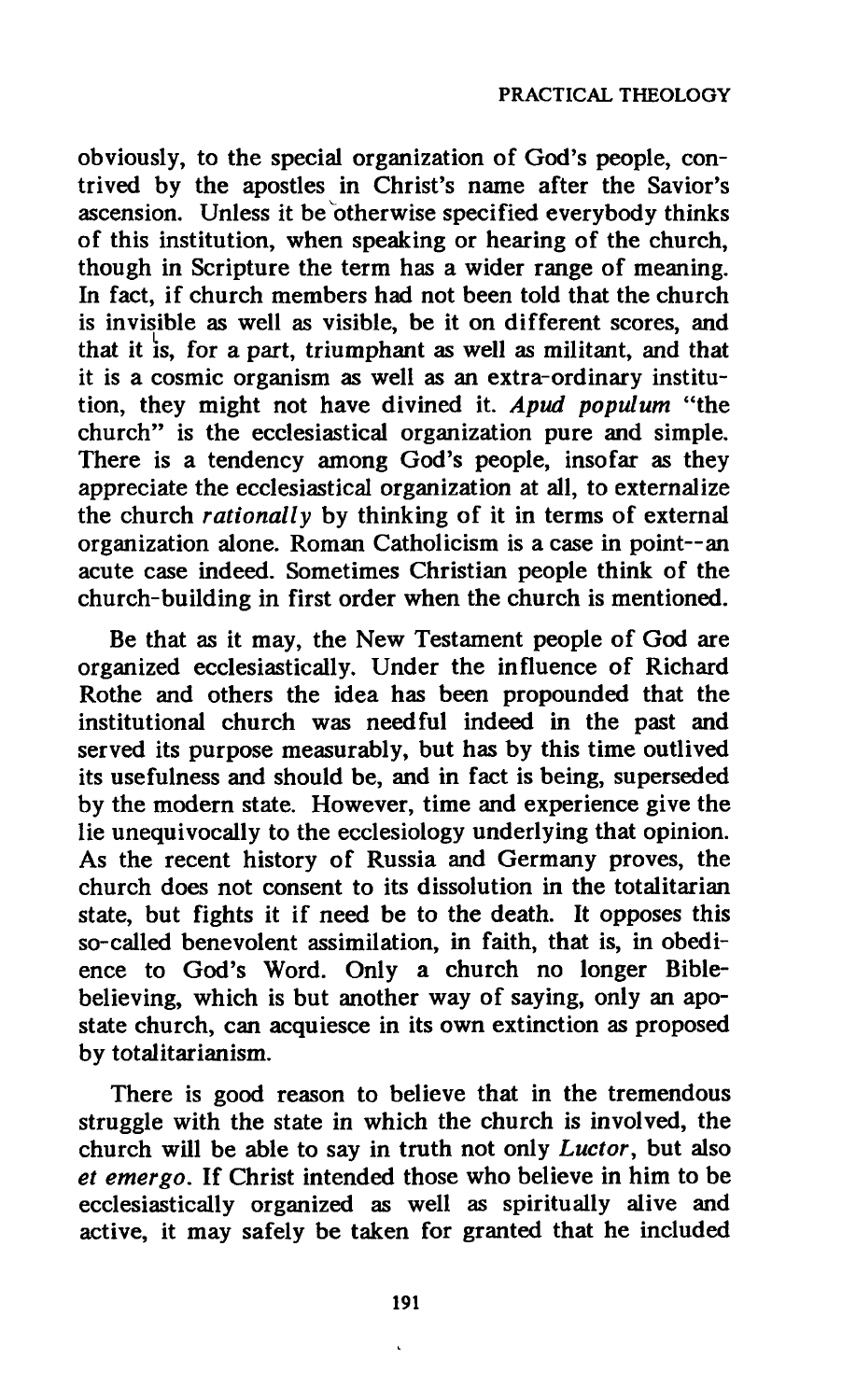**obviously, to the special organization of God's people, contrived by the apostles in Christ's name after the Savior's ascension. Unless it be otherwise specified everybody thinks of this institution, when speaking or hearing of the church, though in Scripture the term has a wider range of meaning. In fact, if church members had not been told that the church is invisible as well as visible, be it on different scores, and**  that it is, for a part, triumphant as well as militant, and that it is a cosmic organism as well as an extra-ordinary institution, they might not have divined it. Apud populum "the church" is the ecclesiastical organization pure and simple. There is a tendency among God's people, insofar as they appreciate the ecclesiastical organization at all, to externalize the church *rationally* by thinking of it in terms of external organization alone. Roman Catholicism is a case in point--an acute case indeed. Sometimes Christian people think of the **acute case indeed. Sometimes Christian people think of the church-building in first order when the church is mentioned.** 

**Be that as it may, the New Testament people of God are organized ecclesiastically. Under the influence of Richard Rothe and others the idea has been propounded that the institutional church was needful indeed in the past and served its purpose measurably, but has by this time outlived its usefulness and should be, and in fact is being, superseded by the modern state. However, time and experience give the lie unequivocally to the ecclesiology underlying that opinion. As the recent history of Russia and Germany proves, the church does not consent to its dissolution in the totalitarian state, but fights it if need be to the death. It opposes this so-called benevolent assimilation, in faith, that is, in obedience to God's Word. Only a church no longer Biblebelieving, which is but another way of saying, only an apostate church, can acquiesce in its own extinction as proposed by totalitarianism.** 

**There is good reason to believe that in the tremendous struggle with the state in which the church is involved, the church will be able to say in truth not only** *Luctor,* **but also**  *et emergo.* **If Christ intended those who believe in him to be ecclesiastically organized as well as spiritually alive and active, it may safely be taken for granted that he included**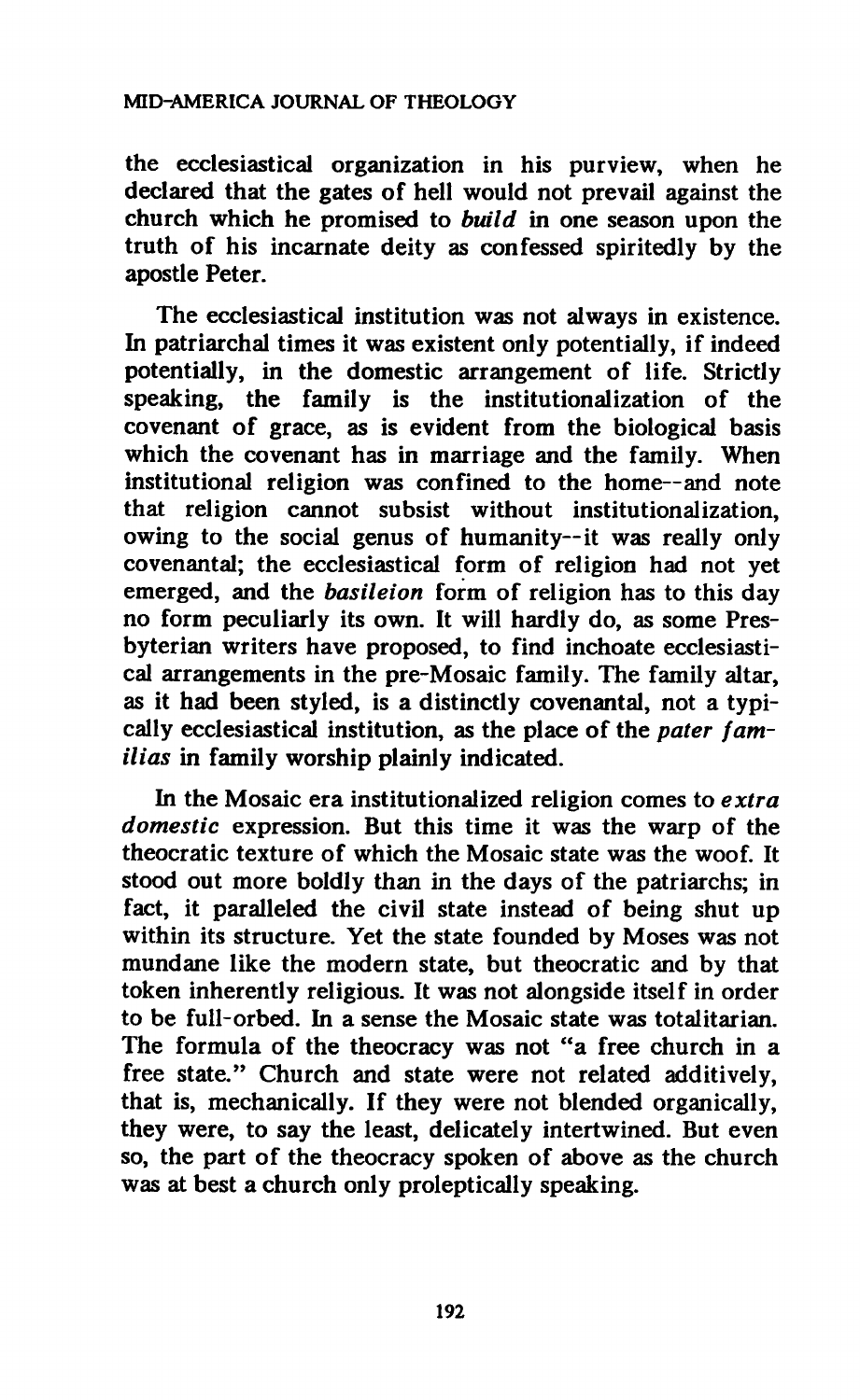**the ecclesiastical organization in his purview, when he declared that the gates of hell would not prevail against the church which he promised to** *build* **in one season upon the truth of his incarnate deity as confessed spiritedly by the apostle Peter.** 

**The ecclesiastical institution was not always in existence. In patriarchal times it was existent only potentially, if indeed potentially, in the domestic arrangement of life. Strictly speaking, the family is the institutionalization of the covenant of grace, as is evident from the biological basis which the covenant has in marriage and the family. When institutional religion was confined to the home—and note that religion cannot subsist without institutionalization, owing to the social genus of humanity—it was really only covenantal; the ecclesiastical form of religion had not yet emerged, and the** *basileion* **form of religion has to this day no form peculiarly its own. It will hardly do, as some Presbyterian writers have proposed, to find inchoate ecclesiastical arrangements in the pre-Mosaic family. The family altar, as it had been styled, is a distinctly covenantal, not a typically ecclesiastical institution, as the place of the** *pater familias* **in family worship plainly indicated.** 

**In the Mosaic era institutionalized religion comes to** *extra domestic* **expression. But this time it was the warp of the theocratic texture of which the Mosaic state was the woof. It stood out more boldly than in the days of the patriarchs; in fact, it paralleled the civil state instead of being shut up within its structure. Yet the state founded by Moses was not mundane like the modern state, but theocratic and by that token inherently religious. It was not alongside itself in order to be full-orbed. In a sense the Mosaic state was totalitarian. The formula of the theocracy was not "a free church in a free state." Church and state were not related additively, that is, mechanically. If they were not blended organically, they were, to say the least, delicately intertwined. But even so, the part of the theocracy spoken of above as the church was at best a church only proleptically speaking.**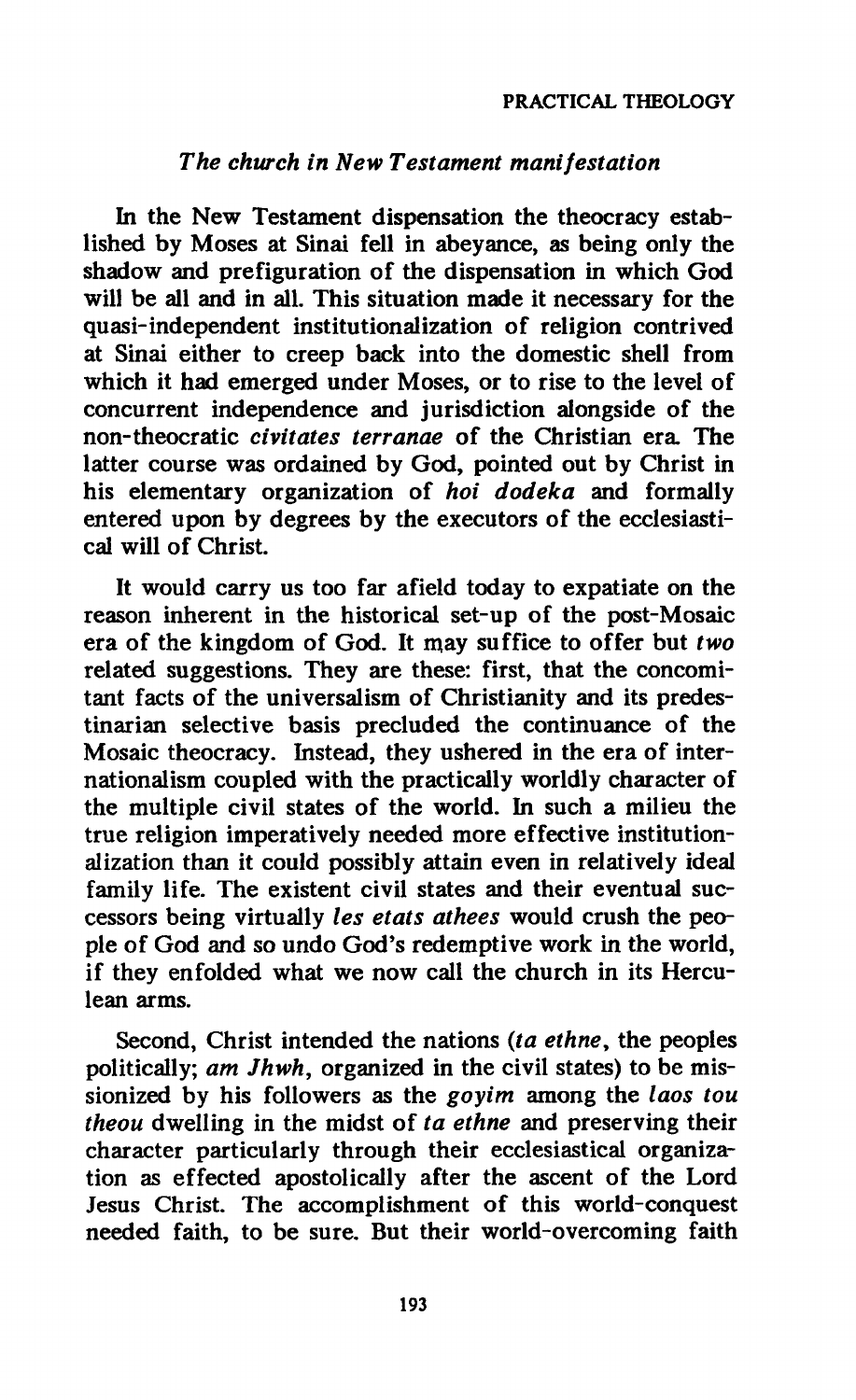## *The church in New Testament manifestation*

**In the New Testament dispensation the theocracy established by Moses at Sinai fell in abeyance, as being only the shadow and préfiguration of the dispensation in which God will be all and in all. This situation made it necessary for the quasi-independent institutionalization of religion contrived at Sinai either to creep back into the domestic shell from which it had emerged under Moses, or to rise to the level of concurrent independence and jurisdiction alongside of the non-theocratic** *civitates terranae* **of the Christian era The latter course was ordained by God, pointed out by Christ in his elementary organization of** *hoi dodeka* **and formally entered upon by degrees by the executors of the ecclesiastical will of Christ.** 

**It would carry us too far afield today to expatiate on the reason inherent in the historical set-up of the post-Mosaic era of the kingdom of God. It may suffice to offer but** *two*  **related suggestions. They are these: first, that the concomitant facts of the universalism of Christianity and its predestinarían selective basis precluded the continuance of the Mosaic theocracy. Instead, they ushered in the era of internationalism coupled with the practically worldly character of the multiple civil states of the world. In such a milieu the true religion imperatively needed more effective institutionalization than it could possibly attain even in relatively ideal family life. The existent civil states and their eventual successors being virtually** *les états athées* **would crush the people of God and so undo God's redemptive work in the world, if they enfolded what we now call the church in its Herculean arms.** 

**Second, Christ intended the nations** *(ta ethne,* **the peoples politically;** *am Jhwh,* **organized in the civil states) to be missionized by his followers as the** *goyim* **among the** *laos tou theou* **dwelling in the midst of** *ta ethne* **and preserving their character particularly through their ecclesiastical organization as effected apostolically after the ascent of the Lord Jesus Christ. The accomplishment of this world-conquest needed faith, to be sure. But their world-overcoming faith**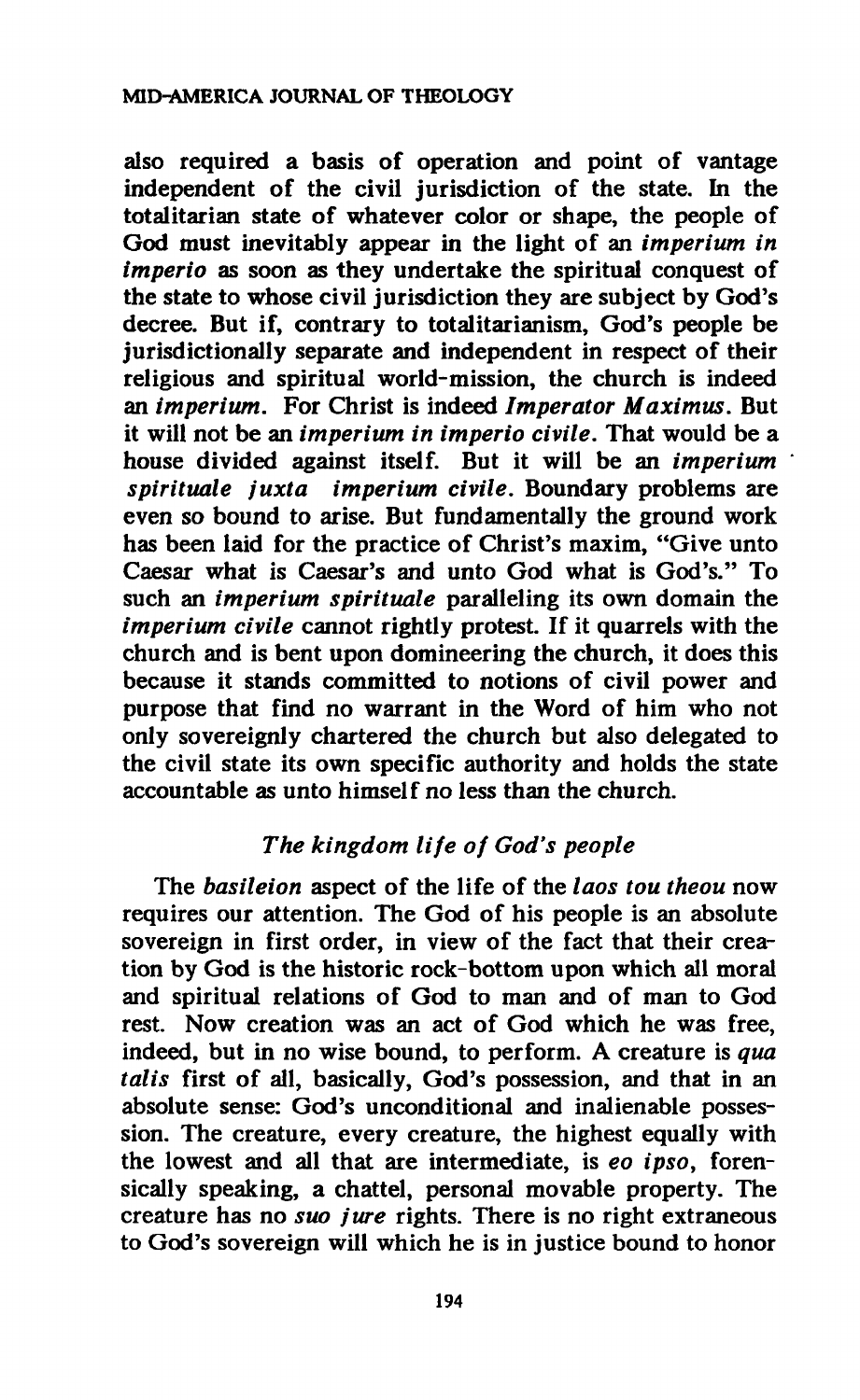**also required a basis of operation and point of vantage independent of the civil jurisdiction of the state. In the totalitarian state of whatever color or shape, the people of God must inevitably appear in the light of an** *imperium in imperio* **as soon as they undertake the spiritual conquest of the state to whose civil jurisdiction they are subject by God's decree. But if, contrary to totalitarianism, God's people be jurisdictionally separate and independent in respect of their religious and spiritual world-mission, the church is indeed an** *imperium.* **For Christ is indeed** *Imperator Maximus.* **But it will not be an** *imperium in imperio civile.* **That would be a house divided against itself. But it will be an** *imperium spirituale juxt a imperium civile.* **Boundary problems are even so bound to arise. But fundamentally the ground work has been laid for the practice of Christ's maxim, "Give unto Caesar what is Caesar's and unto God what is God's." To such an** *imperium spirituale* **paralleling its own domain the**  *imperium civile* **cannot rightly protest. If it quarrels with the church and is bent upon domineering the church, it does this because it stands committed to notions of civil power and purpose that find no warrant in the Word of him who not only sovereignly chartered the church but also delegated to the civil state its own specific authority and holds the state accountable as unto himself no less than the church.** 

## *The kingdom life of God's people*

**The** *basileion* **aspect of the life of the** *laos tou theou* **now requires our attention. The God of his people is an absolute sovereign in first order, in view of the fact that their creation by God is the historic rock-bottom upon which all moral and spiritual relations of God to man and of man to God rest. Now creation was an act of God which he was free, indeed, but in no wise bound, to perform. A creature is** *qua talis* **first of all, basically, God's possession, and that in an absolute sense: God's unconditional and inalienable possession. The creature, every creature, the highest equally with the lowest and all that are intermediate, is** *eo ipso,* **forensically speaking, a chattel, personal movable property. The creature has no** *suo jure* **rights. There is no right extraneous to God's sovereign will which he is in justice bound to honor**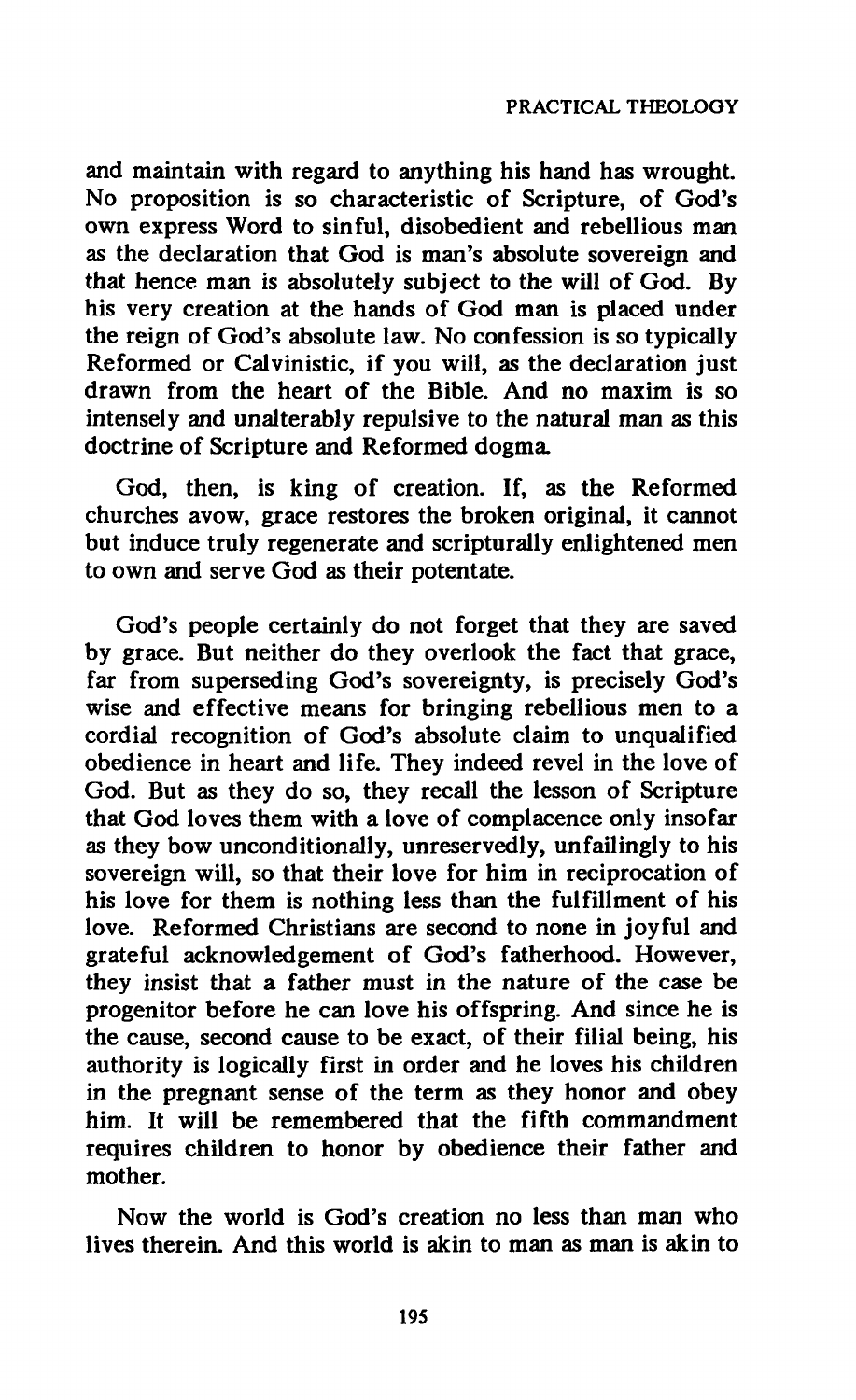**and maintain with regard to anything his hand has wrought. No proposition is so characteristic of Scripture, of God's own express Word to sinful, disobedient and rebellious man as the declaration that God is man's absolute sovereign and that hence man is absolutely subject to the will of God. By his very creation at the hands of God man is placed under the reign of God's absolute law. No confession is so typically Reformed or Calvinistic, if you will, as the declaration just drawn from the heart of the Bible. And no maxim is so intensely and unalterably repulsive to the natural man as this doctrine of Scripture and Reformed dogma.** 

**God, then, is king of creation. If, as the Reformed churches avow, grace restores the broken original, it cannot but induce truly regenerate and scripturally enlightened men to own and serve God as their potentate.** 

**God's people certainly do not forget that they are saved by grace. But neither do they overlook the fact that grace, far from superseding God's sovereignty, is precisely God's wise and effective means for bringing rebellious men to a cordial recognition of God's absolute claim to unqualified obedience in heart and life. They indeed revel in the love of God. But as they do so, they recall the lesson of Scripture that God loves them with a love of complacence only insofar as they bow unconditionally, unreservedly, unfailingly to his sovereign will, so that their love for him in reciprocation of his love for them is nothing less than the fulfillment of his love. Reformed Christians are second to none in joyful and grateful acknowledgement of God's fatherhood. However, they insist that a father must in the nature of the case be progenitor before he can love his offspring. And since he is the cause, second cause to be exact, of their filial being, his authority is logically first in order and he loves his children in the pregnant sense of the term as they honor and obey him. It will be remembered that the fifth commandment requires children to honor by obedience their father and mother.** 

**Now the world is God's creation no less than man who lives therein. And this world is akin to man as man is akin to**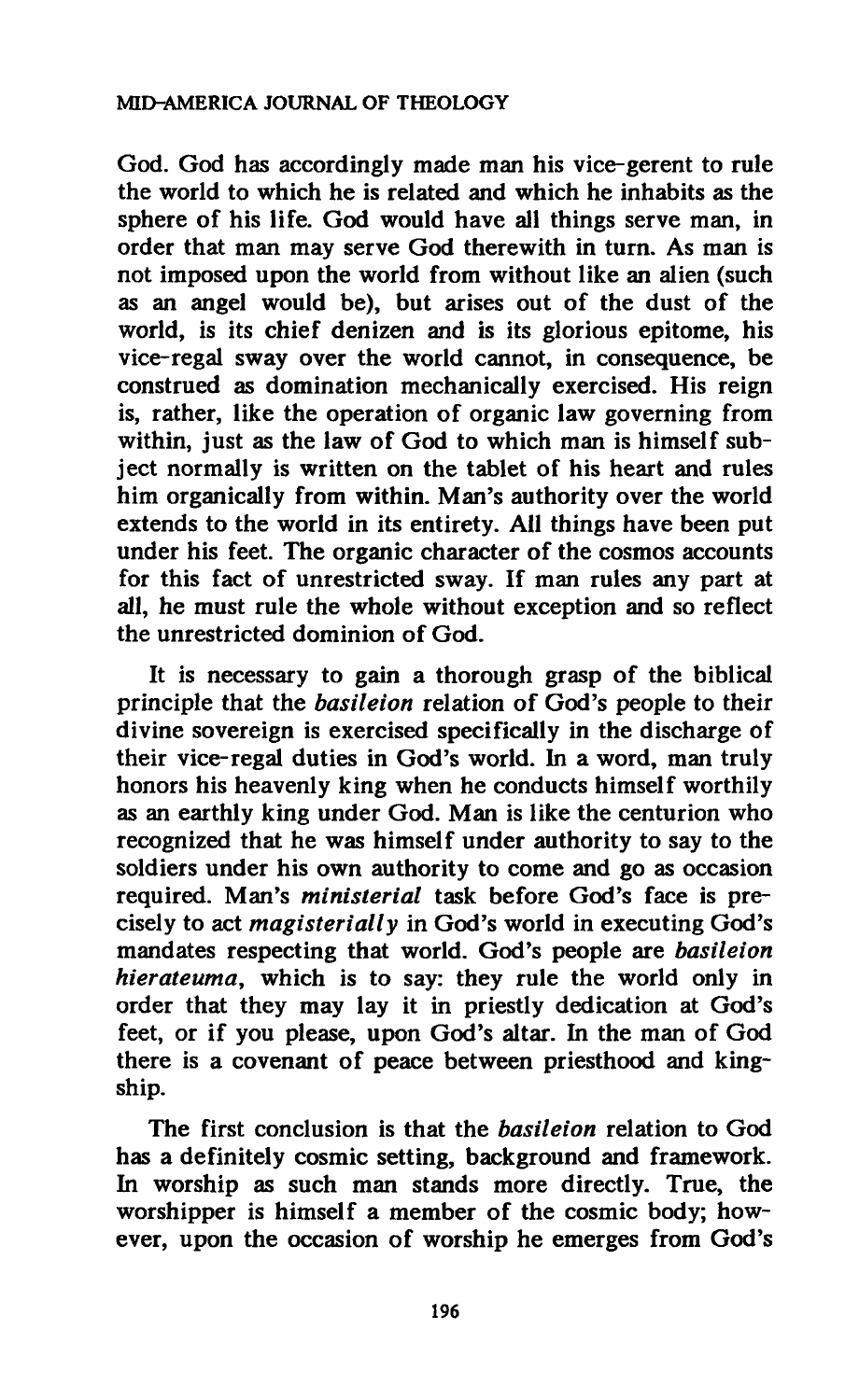**God. God has accordingly made man his vice-gerent to rule the world to which he is related and which he inhabits as the sphere of his life. God would have all things serve man, in order that man may serve God therewith in turn. As man is not imposed upon the world from without like an alien (such as an angel would be), but arises out of the dust of the world, is its chief denizen and is its glorious epitome, his vice-regal sway over the world cannot, in consequence, be construed as domination mechanically exercised. His reign is, rather, like the operation of organic law governing from**  within, just as the law of God to which man is himself sub**ject normally is written on the tablet of his heart and rules him organically from within. Man's authority over the world extends to the world in its entirety. All things have been put under his feet. The organic character of the cosmos accounts for this fact of unrestricted sway. If man rules any part at all, he must rule the whole without exception and so reflect the unrestricted dominion of God.** 

**It is necessary to gain a thorough grasp of the biblical principle that the** *basileion* **relation of God's people to their divine sovereign is exercised specifically in the discharge of their vice-regal duties in God's world. In a word, man truly honors his heavenly king when he conducts himself worthily as an earthly king under God. Man is like the centurion who recognized that he was himself under authority to say to the soldiers under his own authority to come and go as occasion required. Man's** *ministerial* **task before God's face is precisely to act** *magisterially* **in God's world in executing God's mandates respecting that world. God's people are** *basileion hierateuma,* **which is to say: they rule the world only in order that they may lay it in priestly dedication at God's feet, or if you please, upon God's altar. In the man of God there is a covenant of peace between priesthood and kingship.** 

**The first conclusion is that the** *basileion* **relation to God has a definitely cosmic setting, background and framework. In worship as such man stands more directly. True, the worshipper is himself a member of the cosmic body; however, upon the occasion of worship he emerges from God's**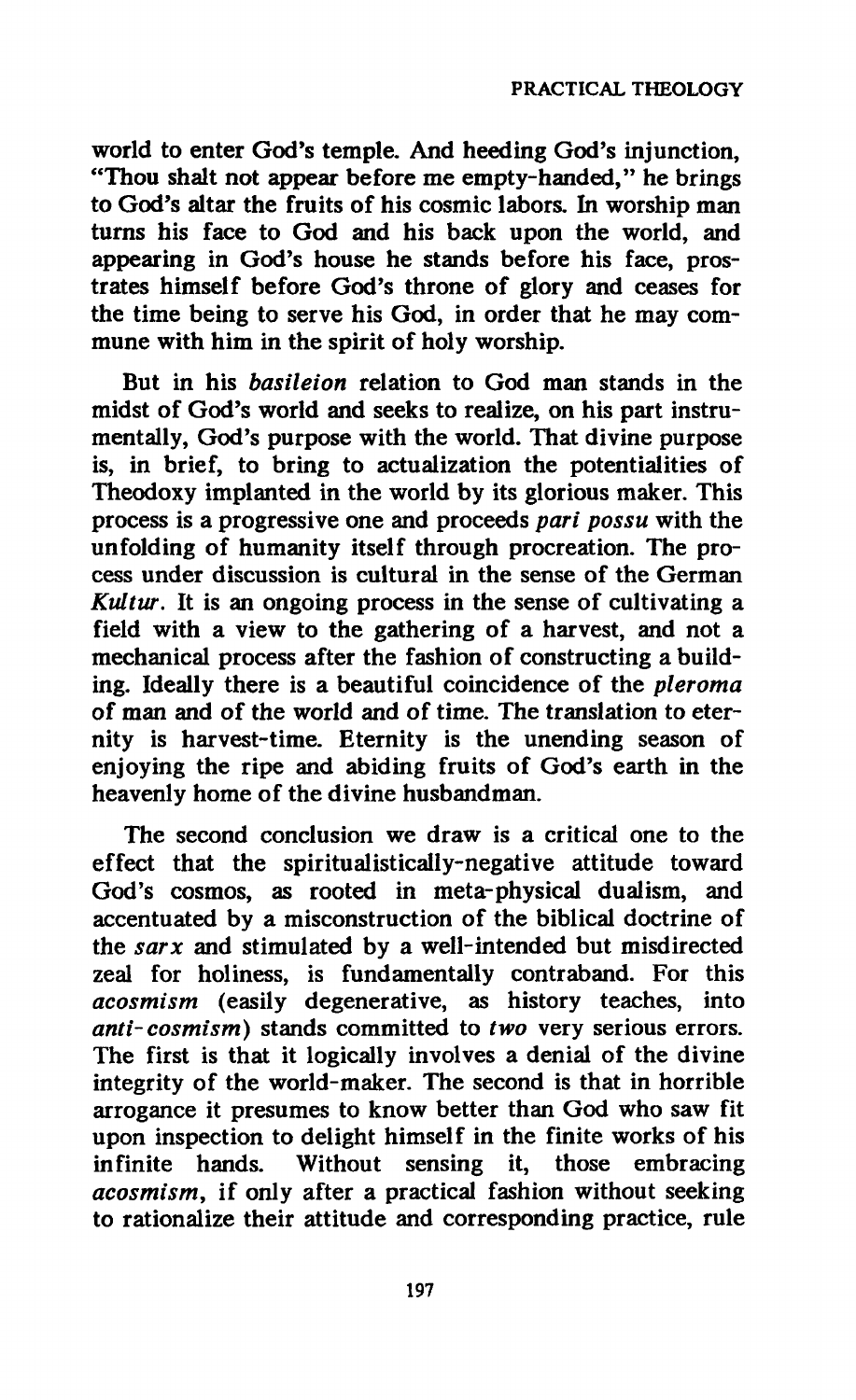**world to enter God's temple. And heeding God's injunction, "Thou shalt not appear before me empty-handed," he brings to God's altar the fruits of his cosmic labors. In worship man turns his face to God and his back upon the world, and appearing in God's house he stands before his face, prostrates himself before God's throne of glory and ceases for the time being to serve his God, in order that he may commune with him in the spirit of holy worship.** 

**But in his** *basileion* **relation to God man stands in the midst of God's world and seeks to realize, on his part instrumentally, God's purpose with the world. That divine purpose is, in brief, to bring to actualization the potentialities of Theodoxy implanted in the world by its glorious maker. This process is a progressive one and proceeds** *pari possu* **with the unfolding of humanity itself through procreation. The process under discussion is cultural in the sense of the German**  *Kultur.* **It is an ongoing process in the sense of cultivating a field with a view to the gathering of a harvest, and not a mechanical process after the fashion of constructing a building. Ideally there is a beautiful coincidence of the** *pleroma*  **of man and of the world and of time. The translation to eternity is harvest-time. Eternity is the unending season of enjoying the ripe and abiding fruits of God's earth in the heavenly home of the divine husbandman.** 

**The second conclusion we draw is a critical one to the effect that the spiritualistically-negative attitude toward God's cosmos, as rooted in meta-physical dualism, and accentuated by a misconstruction of the biblical doctrine of the** *sarx* **and stimulated by a well-intended but misdirected zeal for holiness, is fundamentally contraband. For this**  *acosmism* **(easily degenerative, as history teaches, into**  *anti-cosmism)* **stands committed to** *two* **very serious errors. The first is that it logically involves a denial of the divine integrity of the world-maker. The second is that in horrible arrogance it presumes to know better than God who saw fit upon inspection to delight himself in the finite works of his infinite hands. Without sensing it, those embracing**  *acosmism,* **if only after a practical fashion without seeking to rationalize their attitude and corresponding practice, rule**